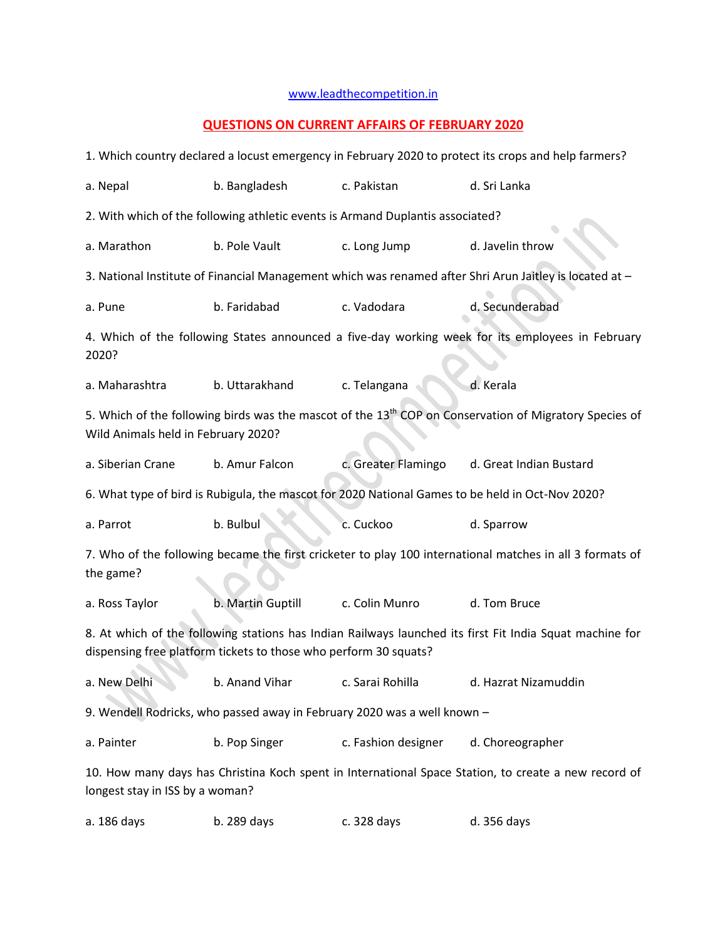## [www.leadthecompetition.in](http://www.leadthecompetition.in/)

## **QUESTIONS ON CURRENT AFFAIRS OF FEBRUARY 2020**

| 1. Which country declared a locust emergency in February 2020 to protect its crops and help farmers?                                                                         |                   |                                                                                                                                                                                                   |                                                                                                  |  |  |  |  |
|------------------------------------------------------------------------------------------------------------------------------------------------------------------------------|-------------------|---------------------------------------------------------------------------------------------------------------------------------------------------------------------------------------------------|--------------------------------------------------------------------------------------------------|--|--|--|--|
| a. Nepal                                                                                                                                                                     | b. Bangladesh     | c. Pakistan                                                                                                                                                                                       | d. Sri Lanka                                                                                     |  |  |  |  |
| 2. With which of the following athletic events is Armand Duplantis associated?                                                                                               |                   |                                                                                                                                                                                                   |                                                                                                  |  |  |  |  |
| a. Marathon                                                                                                                                                                  | b. Pole Vault     | c. Long Jump                                                                                                                                                                                      | d. Javelin throw                                                                                 |  |  |  |  |
| 3. National Institute of Financial Management which was renamed after Shri Arun Jaitley is located at -                                                                      |                   |                                                                                                                                                                                                   |                                                                                                  |  |  |  |  |
| a. Pune                                                                                                                                                                      | b. Faridabad      | c. Vadodara                                                                                                                                                                                       | d. Secunderabad                                                                                  |  |  |  |  |
| 4. Which of the following States announced a five-day working week for its employees in February<br>2020?                                                                    |                   |                                                                                                                                                                                                   |                                                                                                  |  |  |  |  |
| a. Maharashtra                                                                                                                                                               | b. Uttarakhand    | d. Kerala<br>c. Telangana<br>5. Which of the following birds was the mascot of the 13 <sup>th</sup> COP on Conservation of Migratory Species of<br>c. Greater Flamingo<br>d. Great Indian Bustard |                                                                                                  |  |  |  |  |
| Wild Animals held in February 2020?                                                                                                                                          |                   |                                                                                                                                                                                                   |                                                                                                  |  |  |  |  |
| a. Siberian Crane                                                                                                                                                            | b. Amur Falcon    |                                                                                                                                                                                                   |                                                                                                  |  |  |  |  |
|                                                                                                                                                                              |                   |                                                                                                                                                                                                   | 6. What type of bird is Rubigula, the mascot for 2020 National Games to be held in Oct-Nov 2020? |  |  |  |  |
| a. Parrot                                                                                                                                                                    | b. Bulbul         | c. Cuckoo                                                                                                                                                                                         | d. Sparrow                                                                                       |  |  |  |  |
| 7. Who of the following became the first cricketer to play 100 international matches in all 3 formats of<br>the game?                                                        |                   |                                                                                                                                                                                                   |                                                                                                  |  |  |  |  |
| a. Ross Taylor                                                                                                                                                               | b. Martin Guptill | c. Colin Munro                                                                                                                                                                                    | d. Tom Bruce                                                                                     |  |  |  |  |
| 8. At which of the following stations has Indian Railways launched its first Fit India Squat machine for<br>dispensing free platform tickets to those who perform 30 squats? |                   |                                                                                                                                                                                                   |                                                                                                  |  |  |  |  |
| a. New Delhi                                                                                                                                                                 | b. Anand Vihar    | c. Sarai Rohilla                                                                                                                                                                                  | d. Hazrat Nizamuddin                                                                             |  |  |  |  |
| 9. Wendell Rodricks, who passed away in February 2020 was a well known -                                                                                                     |                   |                                                                                                                                                                                                   |                                                                                                  |  |  |  |  |
| a. Painter                                                                                                                                                                   | b. Pop Singer     | c. Fashion designer                                                                                                                                                                               | d. Choreographer                                                                                 |  |  |  |  |
| 10. How many days has Christina Koch spent in International Space Station, to create a new record of<br>longest stay in ISS by a woman?                                      |                   |                                                                                                                                                                                                   |                                                                                                  |  |  |  |  |
| a. 186 days                                                                                                                                                                  | b. 289 days       | c. 328 days                                                                                                                                                                                       | d. 356 days                                                                                      |  |  |  |  |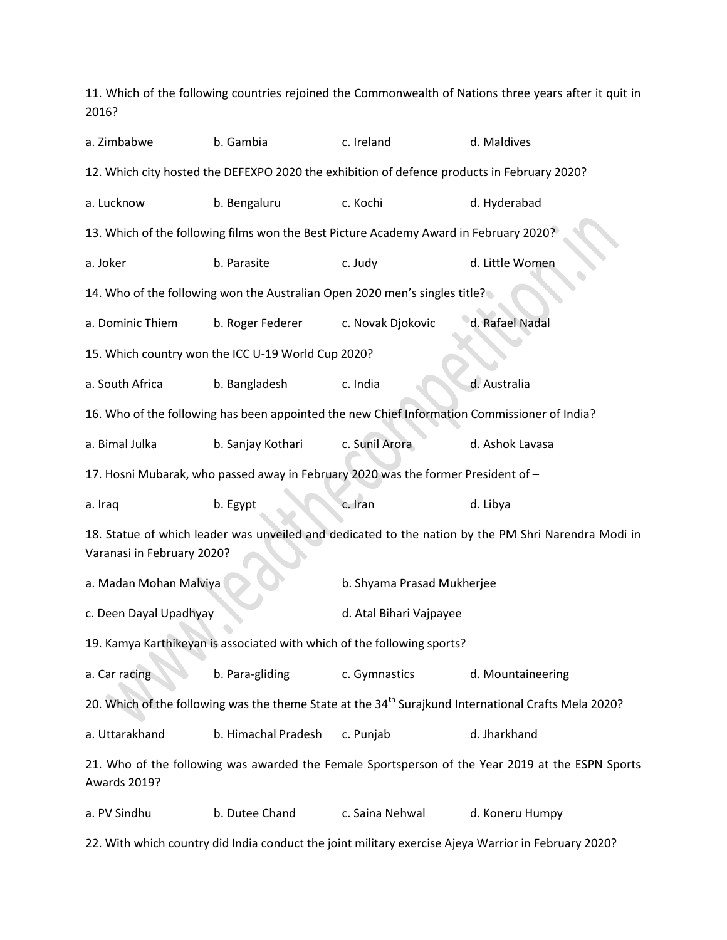11. Which of the following countries rejoined the Commonwealth of Nations three years after it quit in 2016? a. Zimbabwe b. Gambia c. Ireland d. Maldives 12. Which city hosted the DEFEXPO 2020 the exhibition of defence products in February 2020? a. Lucknow b. Bengaluru c. Kochi d. Hyderabad 13. Which of the following films won the Best Picture Academy Award in February 2020? a. Joker b. Parasite c. Judy d. Little Women 14. Who of the following won the Australian Open 2020 men's singles title? a. Dominic Thiem b. Roger Federer c. Novak Djokovic d. Rafael Nadal 15. Which country won the ICC U-19 World Cup 2020? a. South Africa b. Bangladesh c. India d. Australia 16. Who of the following has been appointed the new Chief Information Commissioner of India? a. Bimal Julka b. Sanjay Kothari c. Sunil Arora d. Ashok Lavasa 17. Hosni Mubarak, who passed away in February 2020 was the former President of – a. Iraq b. Egypt c. Iran d. Libya 18. Statue of which leader was unveiled and dedicated to the nation by the PM Shri Narendra Modi in Varanasi in February 2020? a. Madan Mohan Malviya **b. Shyama Prasad Mukherjee** c. Deen Dayal Upadhyay d. Atal Bihari Vajpayee 19. Kamya Karthikeyan is associated with which of the following sports? a. Car racing b. Para-gliding c. Gymnastics d. Mountaineering 20. Which of the following was the theme State at the 34<sup>th</sup> Surajkund International Crafts Mela 2020? a. Uttarakhand b. Himachal Pradesh c. Punjab d. Jharkhand 21. Who of the following was awarded the Female Sportsperson of the Year 2019 at the ESPN Sports Awards 2019? a. PV Sindhu b. Dutee Chand c. Saina Nehwal d. Koneru Humpy 22. With which country did India conduct the joint military exercise Ajeya Warrior in February 2020?